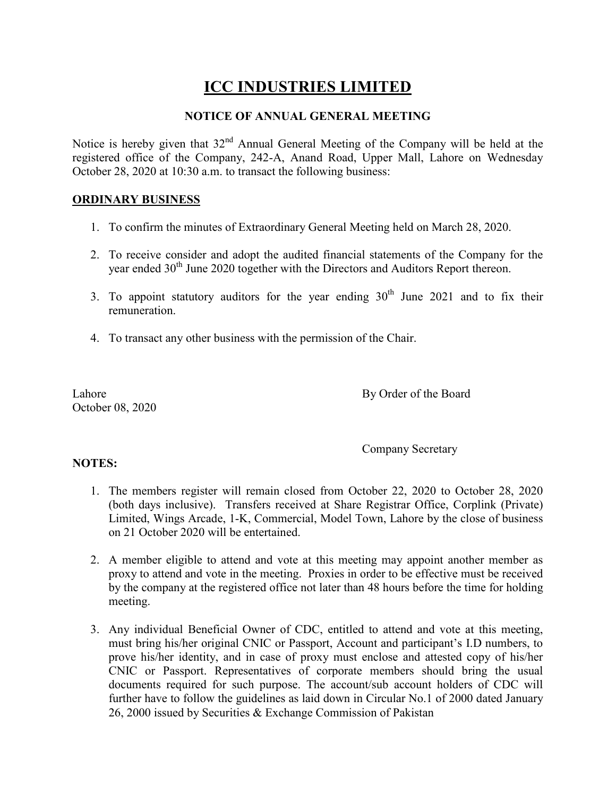## **ICC INDUSTRIES LIMITED**

## **NOTICE OF ANNUAL GENERAL MEETING**

Notice is hereby given that 32<sup>nd</sup> Annual General Meeting of the Company will be held at the registered office of the Company, 242-A, Anand Road, Upper Mall, Lahore on Wednesday October 28, 2020 at 10:30 a.m. to transact the following business:

## **ORDINARY BUSINESS**

- 1. To confirm the minutes of Extraordinary General Meeting held on March 28, 2020.
- 2. To receive consider and adopt the audited financial statements of the Company for the year ended 30<sup>th</sup> June 2020 together with the Directors and Auditors Report thereon.
- 3. To appoint statutory auditors for the year ending  $30<sup>th</sup>$  June 2021 and to fix their remuneration.
- 4. To transact any other business with the permission of the Chair.

October 08, 2020

Lahore By Order of the Board

Company Secretary

## **NOTES:**

- 1. The members register will remain closed from October 22, 2020 to October 28, 2020 (both days inclusive). Transfers received at Share Registrar Office, Corplink (Private) Limited, Wings Arcade, 1-K, Commercial, Model Town, Lahore by the close of business on 21 October 2020 will be entertained.
- 2. A member eligible to attend and vote at this meeting may appoint another member as proxy to attend and vote in the meeting. Proxies in order to be effective must be received by the company at the registered office not later than 48 hours before the time for holding meeting.
- 3. Any individual Beneficial Owner of CDC, entitled to attend and vote at this meeting, must bring his/her original CNIC or Passport, Account and participant's I.D numbers, to prove his/her identity, and in case of proxy must enclose and attested copy of his/her CNIC or Passport. Representatives of corporate members should bring the usual documents required for such purpose. The account/sub account holders of CDC will further have to follow the guidelines as laid down in Circular No.1 of 2000 dated January 26, 2000 issued by Securities & Exchange Commission of Pakistan